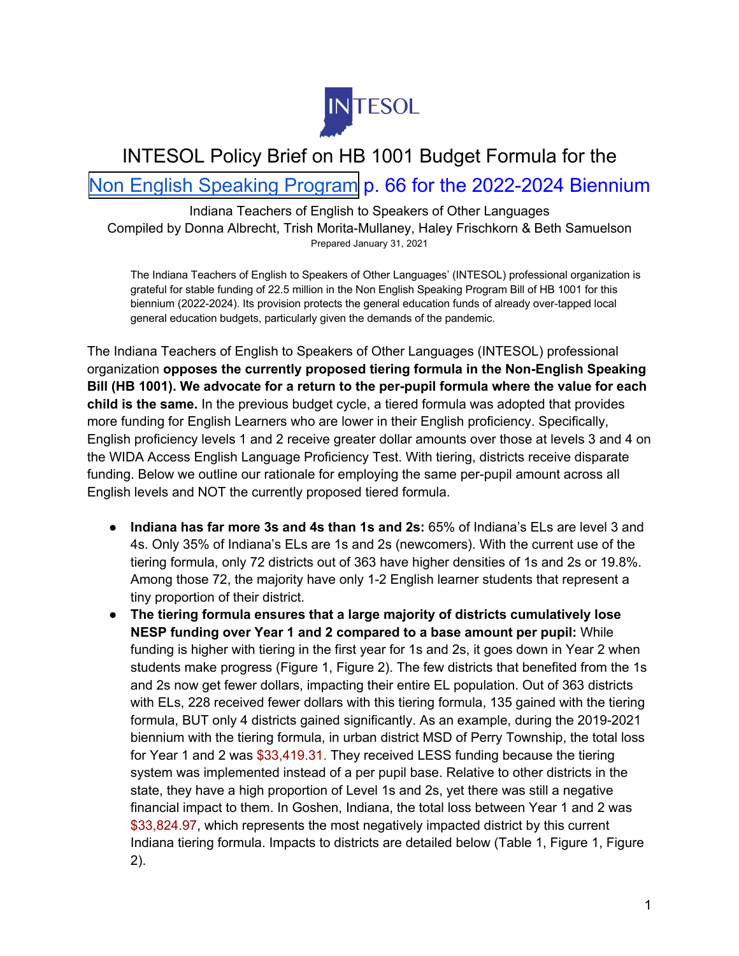

## INTESOL Policy Brief on HB 1001 Budget Formula for the

## [Non English Speaking Program](http://iga.in.gov/legislative/2021/bills/house/1001#document-4e4219b9) p. 66 for the 2022-2024 Biennium

Indiana Teachers of English to Speakers of Other Languages Compiled by Donna Albrecht, Trish Morita-Mullaney, Haley Frischkorn & Beth Samuelson Prepared January 31, 2021

The Indiana Teachers of English to Speakers of Other Languages' (INTESOL) professional organization is grateful for stable funding of 22.5 million in the Non English Speaking Program Bill of HB 1001 for this biennium (2022-2024). Its provision protects the general education funds of already over-tapped local general education budgets, particularly given the demands of the pandemic.

The Indiana Teachers of English to Speakers of Other Languages (INTESOL) professional organization **opposes the currently proposed tiering formula in the Non-English Speaking Bill (HB 1001). We advocate for a return to the per-pupil formula where the value for each child is the same.** In the previous budget cycle, a tiered formula was adopted that provides more funding for English Learners who are lower in their English proficiency. Specifically, English proficiency levels 1 and 2 receive greater dollar amounts over those at levels 3 and 4 on the WIDA Access English Language Proficiency Test. With tiering, districts receive disparate funding. Below we outline our rationale for employing the same per-pupil amount across all English levels and NOT the currently proposed tiered formula.

- **Indiana has far more 3s and 4s than 1s and 2s:** 65% of Indiana's ELs are level 3 and 4s. Only 35% of Indiana's ELs are 1s and 2s (newcomers). With the current use of the tiering formula, only 72 districts out of 363 have higher densities of 1s and 2s or 19.8%. Among those 72, the majority have only 1-2 English learner students that represent a tiny proportion of their district.
- **The tiering formula ensures that a large majority of districts cumulatively lose NESP funding over Year 1 and 2 compared to a base amount per pupil:** While funding is higher with tiering in the first year for 1s and 2s, it goes down in Year 2 when students make progress (Figure 1, Figure 2). The few districts that benefited from the 1s and 2s now get fewer dollars, impacting their entire EL population. Out of 363 districts with ELs, 228 received fewer dollars with this tiering formula, 135 gained with the tiering formula, BUT only 4 districts gained significantly. As an example, during the 2019-2021 biennium with the tiering formula, in urban district MSD of Perry Township, the total loss for Year 1 and 2 was \$33,419.31. They received LESS funding because the tiering system was implemented instead of a per pupil base. Relative to other districts in the state, they have a high proportion of Level 1s and 2s, yet there was still a negative financial impact to them. In Goshen, Indiana, the total loss between Year 1 and 2 was \$33,824.97, which represents the most negatively impacted district by this current Indiana tiering formula. Impacts to districts are detailed below (Table 1, Figure 1, Figure 2).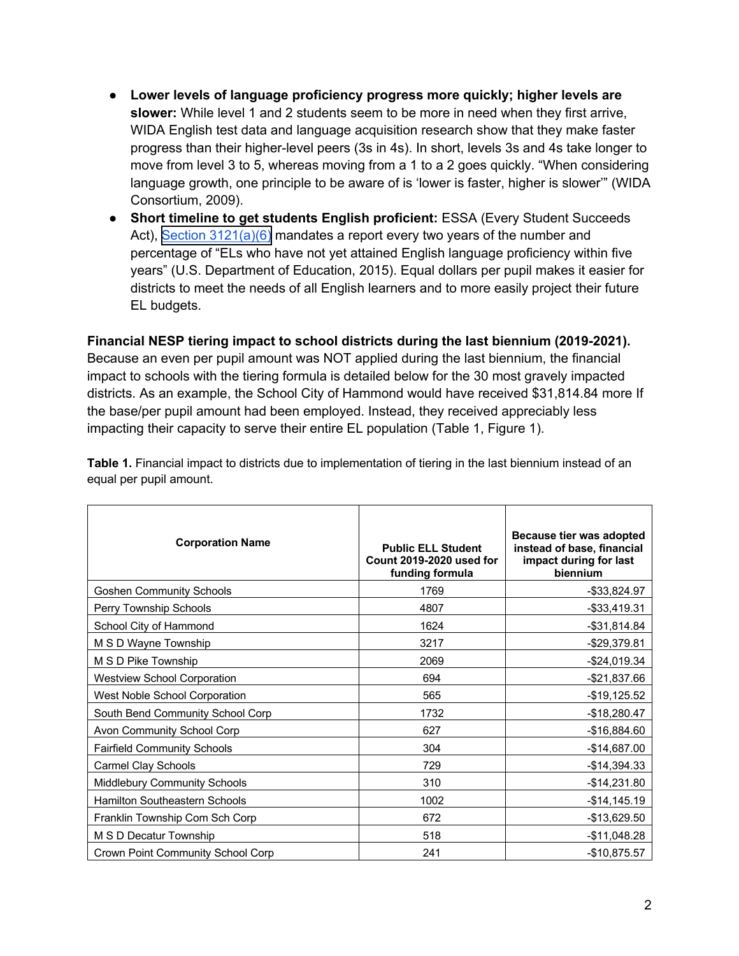- **Lower levels of language proficiency progress more quickly; higher levels are slower:** While level 1 and 2 students seem to be more in need when they first arrive, WIDA English test data and language acquisition research show that they make faster progress than their higher-level peers (3s in 4s). In short, levels 3s and 4s take longer to move from level 3 to 5, whereas moving from a 1 to a 2 goes quickly. "When considering language growth, one principle to be aware of is 'lower is faster, higher is slower'" (WIDA Consortium, 2009).
- **Short timeline to get students English proficient:** ESSA (Every Student Succeeds Act), Section  $3121(a)(6)$  mandates a report every two years of the number and percentage of "ELs who have not yet attained English language proficiency within five years" (U.S. Department of Education, 2015). Equal dollars per pupil makes it easier for districts to meet the needs of all English learners and to more easily project their future EL budgets.

**Financial NESP tiering impact to school districts during the last biennium (2019-2021).** Because an even per pupil amount was NOT applied during the last biennium, the financial impact to schools with the tiering formula is detailed below for the 30 most gravely impacted districts. As an example, the School City of Hammond would have received \$31,814.84 more If the base/per pupil amount had been employed. Instead, they received appreciably less impacting their capacity to serve their entire EL population (Table 1, Figure 1).

| <b>Corporation Name</b>             | <b>Public ELL Student</b><br>Count 2019-2020 used for<br>funding formula | Because tier was adopted<br>instead of base, financial<br>impact during for last<br>biennium |
|-------------------------------------|--------------------------------------------------------------------------|----------------------------------------------------------------------------------------------|
| <b>Goshen Community Schools</b>     | 1769                                                                     | -\$33,824.97                                                                                 |
| Perry Township Schools              | 4807                                                                     | $-$ \$33,419.31                                                                              |
| School City of Hammond              | 1624                                                                     | $-$ \$31,814.84                                                                              |
| M S D Wayne Township                | 3217                                                                     | $-$29,379.81$                                                                                |
| M S D Pike Township                 | 2069                                                                     | $-$24,019.34$                                                                                |
| <b>Westview School Corporation</b>  | 694                                                                      | -\$21,837.66                                                                                 |
| West Noble School Corporation       | 565                                                                      | $-$19,125.52$                                                                                |
| South Bend Community School Corp    | 1732                                                                     | $-$18,280.47$                                                                                |
| Avon Community School Corp          | 627                                                                      | $-$16,884.60$                                                                                |
| <b>Fairfield Community Schools</b>  | 304                                                                      | $-$14,687.00$                                                                                |
| Carmel Clay Schools                 | 729                                                                      | $-$14,394.33$                                                                                |
| <b>Middlebury Community Schools</b> | 310                                                                      | $-$14,231.80$                                                                                |
| Hamilton Southeastern Schools       | 1002                                                                     | $-$14,145.19$                                                                                |
| Franklin Township Com Sch Corp      | 672                                                                      | $-$13,629.50$                                                                                |
| M S D Decatur Township              | 518                                                                      | $-$11,048.28$                                                                                |
| Crown Point Community School Corp   | 241                                                                      | $-$10,875.57$                                                                                |

**Table 1.** Financial impact to districts due to implementation of tiering in the last biennium instead of an equal per pupil amount.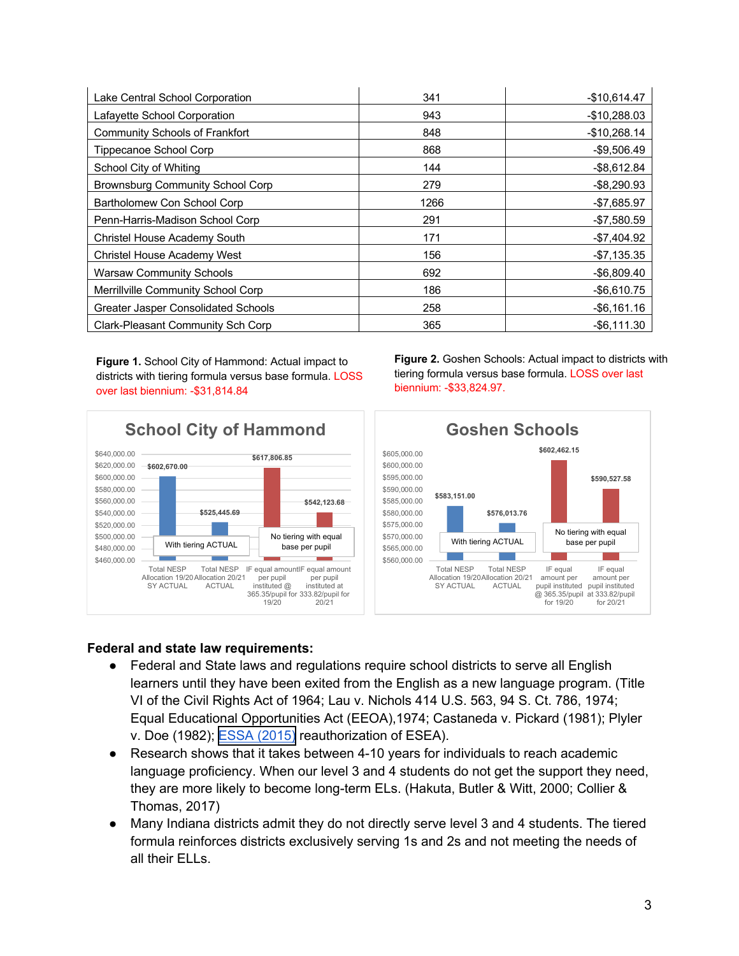| Lake Central School Corporation       | 341  | $-$10,614.47$  |
|---------------------------------------|------|----------------|
| Lafayette School Corporation          | 943  | $-$10,288.03$  |
| <b>Community Schools of Frankfort</b> | 848  | $-$10,268.14$  |
| Tippecanoe School Corp                | 868  | $-$9,506.49$   |
| School City of Whiting                | 144  | $-$ \$8,612.84 |
| Brownsburg Community School Corp      | 279  | $-$ \$8,290.93 |
| Bartholomew Con School Corp           | 1266 | $-$7,685.97$   |
| Penn-Harris-Madison School Corp       | 291  | $-$7,580.59$   |
| Christel House Academy South          | 171  | $-$7,404.92$   |
| Christel House Academy West           | 156  | $-$7,135.35$   |
| <b>Warsaw Community Schools</b>       | 692  | $-$ \$6,809.40 |
| Merrillville Community School Corp    | 186  | $-$ \$6,610.75 |
| Greater Jasper Consolidated Schools   | 258  | $-$ \$6,161.16 |
| Clark-Pleasant Community Sch Corp     | 365  | $-$ \$6,111.30 |

**Figure 1.** School City of Hammond: Actual impact to districts with tiering formula versus base formula. LOSS over last biennium: -\$31,814.84

**Figure 2.** Goshen Schools: Actual impact to districts with tiering formula versus base formula. LOSS over last biennium: -\$33,824.97.



## **Federal and state law requirements:**

- Federal and State laws and regulations require school districts to serve all English learners until they have been exited from the English as a new language program. (Title VI of the Civil Rights Act of 1964; Lau v. Nichols 414 U.S. 563, 94 S. Ct. 786, 1974; Equal Educational Opportunities Act (EEOA),1974; Castaneda v. Pickard (1981); Plyler v. Doe (1982); [ESSA \(2015\)](https://www.ed.gov/essa?src=rn) reauthorization of ESEA).
- Research shows that it takes between 4-10 years for individuals to reach academic language proficiency. When our level 3 and 4 students do not get the support they need, they are more likely to become long-term ELs. (Hakuta, Butler & Witt, 2000; Collier & Thomas, 2017)
- Many Indiana districts admit they do not directly serve level 3 and 4 students. The tiered formula reinforces districts exclusively serving 1s and 2s and not meeting the needs of all their ELLs.